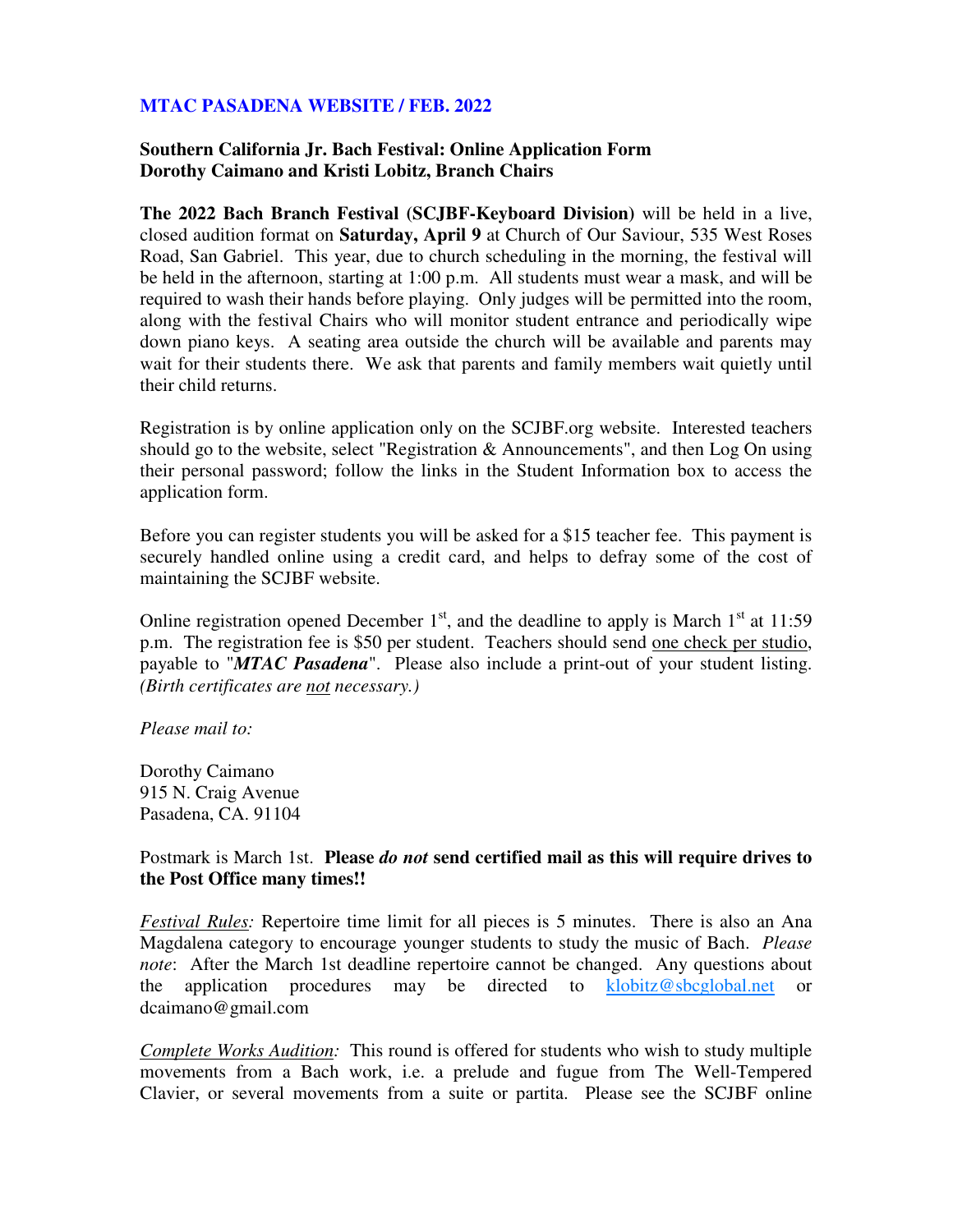## **MTAC PASADENA WEBSITE / FEB. 2022**

## **Southern California Jr. Bach Festival: Online Application Form Dorothy Caimano and Kristi Lobitz, Branch Chairs**

**The 2022 Bach Branch Festival (SCJBF-Keyboard Division)** will be held in a live, closed audition format on **Saturday, April 9** at Church of Our Saviour, 535 West Roses Road, San Gabriel. This year, due to church scheduling in the morning, the festival will be held in the afternoon, starting at 1:00 p.m. All students must wear a mask, and will be required to wash their hands before playing. Only judges will be permitted into the room, along with the festival Chairs who will monitor student entrance and periodically wipe down piano keys. A seating area outside the church will be available and parents may wait for their students there. We ask that parents and family members wait quietly until their child returns.

Registration is by online application only on the SCJBF.org website. Interested teachers should go to the website, select "Registration & Announcements", and then Log On using their personal password; follow the links in the Student Information box to access the application form.

Before you can register students you will be asked for a \$15 teacher fee. This payment is securely handled online using a credit card, and helps to defray some of the cost of maintaining the SCJBF website.

Online registration opened December  $1<sup>st</sup>$ , and the deadline to apply is March  $1<sup>st</sup>$  at 11:59 p.m. The registration fee is \$50 per student. Teachers should send one check per studio, payable to "*MTAC Pasadena*". Please also include a print-out of your student listing. *(Birth certificates are not necessary.)* 

## *Please mail to:*

Dorothy Caimano 915 N. Craig Avenue Pasadena, CA. 91104

## Postmark is March 1st. **Please** *do not* **send certified mail as this will require drives to the Post Office many times!!**

*Festival Rules:* Repertoire time limit for all pieces is 5 minutes. There is also an Ana Magdalena category to encourage younger students to study the music of Bach. *Please note*: After the March 1st deadline repertoire cannot be changed. Any questions about the application procedures may be directed to klobitz@sbcglobal.net or dcaimano@gmail.com

*Complete Works Audition:* This round is offered for students who wish to study multiple movements from a Bach work, i.e. a prelude and fugue from The Well-Tempered Clavier, or several movements from a suite or partita. Please see the SCJBF online